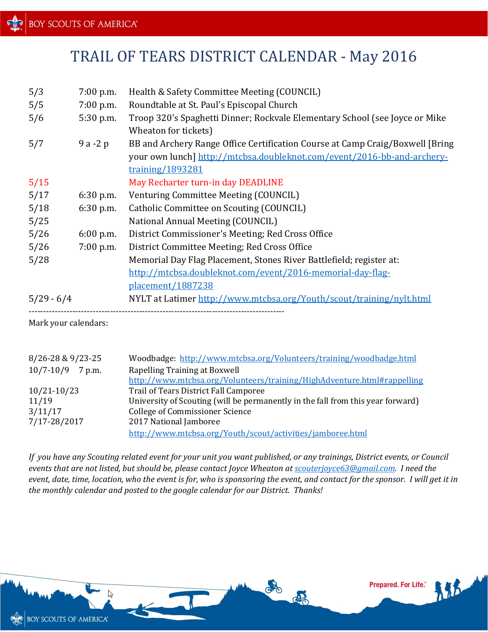## TRAIL OF TEARS DISTRICT CALENDAR - May 2016

| 5/3          | $7:00$ p.m. | Health & Safety Committee Meeting (COUNCIL)                                    |
|--------------|-------------|--------------------------------------------------------------------------------|
| 5/5          | $7:00$ p.m. | Roundtable at St. Paul's Episcopal Church                                      |
| 5/6          | 5:30 p.m.   | Troop 320's Spaghetti Dinner; Rockvale Elementary School (see Joyce or Mike    |
|              |             | Wheaton for tickets)                                                           |
| 5/7          | $9a-2p$     | BB and Archery Range Office Certification Course at Camp Craig/Boxwell [Bring] |
|              |             | your own lunch] http://mtcbsa.doubleknot.com/event/2016-bb-and-archery-        |
|              |             | training/1893281                                                               |
| 5/15         |             | May Recharter turn-in day DEADLINE                                             |
| 5/17         | $6:30$ p.m. | Venturing Committee Meeting (COUNCIL)                                          |
| 5/18         | $6:30$ p.m. | Catholic Committee on Scouting (COUNCIL)                                       |
| 5/25         |             | National Annual Meeting (COUNCIL)                                              |
| 5/26         | $6:00$ p.m. | District Commissioner's Meeting; Red Cross Office                              |
| 5/26         | $7:00$ p.m. | District Committee Meeting; Red Cross Office                                   |
| 5/28         |             | Memorial Day Flag Placement, Stones River Battlefield; register at:            |
|              |             | http://mtcbsa.doubleknot.com/event/2016-memorial-day-flag-                     |
|              |             | placement/1887238                                                              |
| $5/29 - 6/4$ |             | NYLT at Latimer http://www.mtcbsa.org/Youth/scout/training/nylt.html           |
|              |             |                                                                                |

Mark your calendars:

| 8/26-28 & 9/23-25       | Woodbadge: http://www.mtcbsa.org/Volunteers/training/woodbadge.html             |
|-------------------------|---------------------------------------------------------------------------------|
| $10/7 - 10/9$<br>7 p.m. | Rapelling Training at Boxwell                                                   |
|                         | http://www.mtcbsa.org/Volunteers/training/HighAdventure.html#rappelling         |
| $10/21 - 10/23$         | Trail of Tears District Fall Camporee                                           |
| 11/19                   | University of Scouting (will be permanently in the fall from this year forward) |
| 3/11/17                 | College of Commissioner Science                                                 |
| 7/17-28/2017            | 2017 National Jamboree                                                          |
|                         | http://www.mtcbsa.org/Youth/scout/activities/jamboree.html                      |

*If you have any Scouting related event for your unit you want published, or any trainings, District events, or Council events that are not listed, but should be, please contact Joyce Wheaton at [scouterjoyce63@gmail.com.](mailto:scouterjoyce63@gmail.com) I need the event, date, time, location, who the event is for, who is sponsoring the event, and contact for the sponsor. I will get it in the monthly calendar and posted to the google calendar for our District. Thanks!*